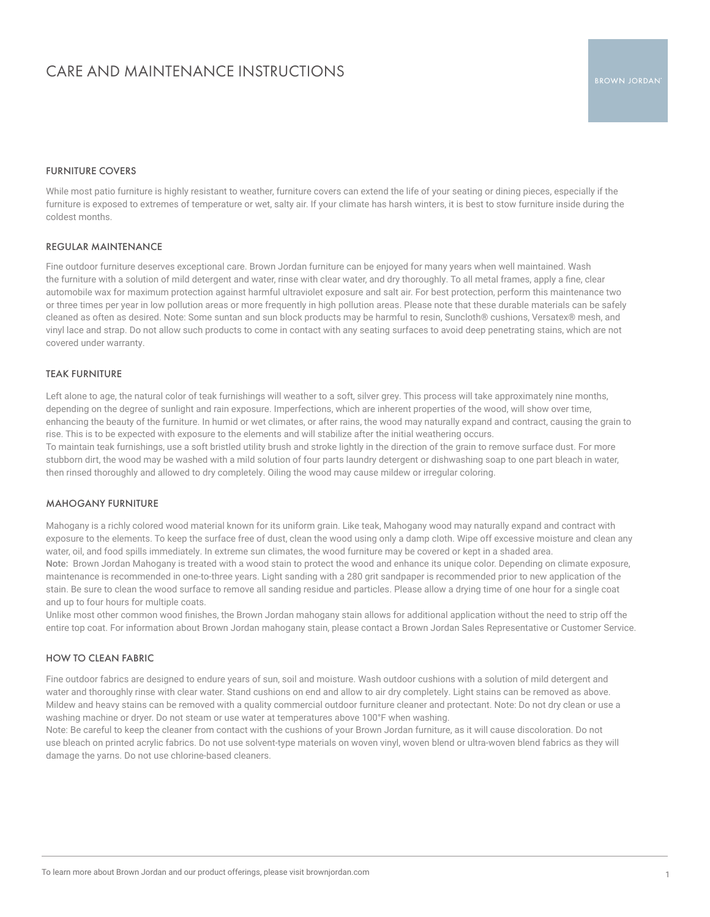## CARE AND MAINTENANCE INSTRUCTIONS

### FURNITURE COVERS

While most patio furniture is highly resistant to weather, furniture covers can extend the life of your seating or dining pieces, especially if the furniture is exposed to extremes of temperature or wet, salty air. If your climate has harsh winters, it is best to stow furniture inside during the coldest months.

### REGULAR MAINTENANCE

Fine outdoor furniture deserves exceptional care. Brown Jordan furniture can be enjoyed for many years when well maintained. Wash the furniture with a solution of mild detergent and water, rinse with clear water, and dry thoroughly. To all metal frames, apply a fine, clear automobile wax for maximum protection against harmful ultraviolet exposure and salt air. For best protection, perform this maintenance two or three times per year in low pollution areas or more frequently in high pollution areas. Please note that these durable materials can be safely cleaned as often as desired. Note: Some suntan and sun block products may be harmful to resin, Suncloth® cushions, Versatex® mesh, and vinyl lace and strap. Do not allow such products to come in contact with any seating surfaces to avoid deep penetrating stains, which are not covered under warranty.

### TEAK FURNITURE

Left alone to age, the natural color of teak furnishings will weather to a soft, silver grey. This process will take approximately nine months, depending on the degree of sunlight and rain exposure. Imperfections, which are inherent properties of the wood, will show over time, enhancing the beauty of the furniture. In humid or wet climates, or after rains, the wood may naturally expand and contract, causing the grain to rise. This is to be expected with exposure to the elements and will stabilize after the initial weathering occurs.

To maintain teak furnishings, use a soft bristled utility brush and stroke lightly in the direction of the grain to remove surface dust. For more stubborn dirt, the wood may be washed with a mild solution of four parts laundry detergent or dishwashing soap to one part bleach in water, then rinsed thoroughly and allowed to dry completely. Oiling the wood may cause mildew or irregular coloring.

### MAHOGANY FURNITURE

Mahogany is a richly colored wood material known for its uniform grain. Like teak, Mahogany wood may naturally expand and contract with exposure to the elements. To keep the surface free of dust, clean the wood using only a damp cloth. Wipe off excessive moisture and clean any water, oil, and food spills immediately. In extreme sun climates, the wood furniture may be covered or kept in a shaded area. Note: Brown Jordan Mahogany is treated with a wood stain to protect the wood and enhance its unique color. Depending on climate exposure, maintenance is recommended in one-to-three years. Light sanding with a 280 grit sandpaper is recommended prior to new application of the stain. Be sure to clean the wood surface to remove all sanding residue and particles. Please allow a drying time of one hour for a single coat and up to four hours for multiple coats.

Unlike most other common wood finishes, the Brown Jordan mahogany stain allows for additional application without the need to strip off the entire top coat. For information about Brown Jordan mahogany stain, please contact a Brown Jordan Sales Representative or Customer Service.

### HOW TO CLEAN FABRIC

Fine outdoor fabrics are designed to endure years of sun, soil and moisture. Wash outdoor cushions with a solution of mild detergent and water and thoroughly rinse with clear water. Stand cushions on end and allow to air dry completely. Light stains can be removed as above. Mildew and heavy stains can be removed with a quality commercial outdoor furniture cleaner and protectant. Note: Do not dry clean or use a washing machine or dryer. Do not steam or use water at temperatures above 100°F when washing.

Note: Be careful to keep the cleaner from contact with the cushions of your Brown Jordan furniture, as it will cause discoloration. Do not use bleach on printed acrylic fabrics. Do not use solvent-type materials on woven vinyl, woven blend or ultra-woven blend fabrics as they will damage the yarns. Do not use chlorine-based cleaners.